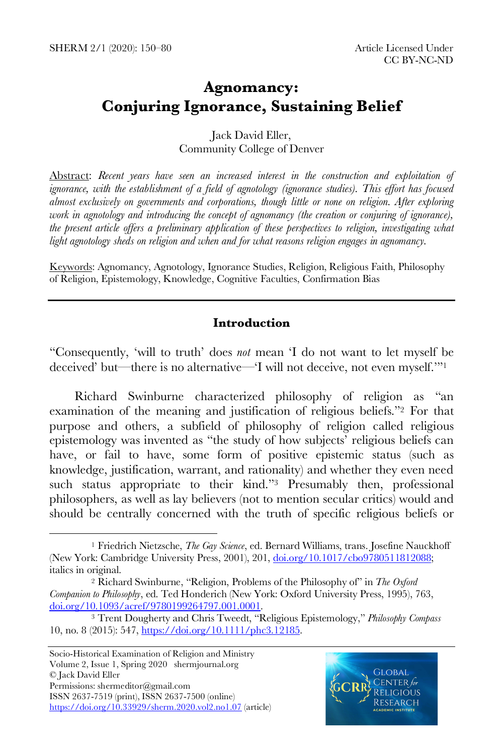# **Agnomancy: Conjuring Ignorance, Sustaining Belief**

#### Jack David Eller, Community College of Denver

Abstract: *Recent years have seen an increased interest in the construction and exploitation of ignorance, with the establishment of a field of agnotology (ignorance studies). This effort has focused almost exclusively on governments and corporations, though little or none on religion. After exploring work in agnotology and introducing the concept of agnomancy (the creation or conjuring of ignorance), the present article offers a preliminary application of these perspectives to religion, investigating what light agnotology sheds on religion and when and for what reasons religion engages in agnomancy.*

Keywords: Agnomancy, Agnotology, Ignorance Studies, Religion, Religious Faith, Philosophy of Religion, Epistemology, Knowledge, Cognitive Faculties, Confirmation Bias

## **Introduction**

"Consequently, 'will to truth' does *not* mean 'I do not want to let myself be deceived' but—there is no alternative—'I will not deceive, not even myself.'"1

Richard Swinburne characterized philosophy of religion as "an examination of the meaning and justification of religious beliefs."2 For that purpose and others, a subfield of philosophy of religion called religious epistemology was invented as "the study of how subjects' religious beliefs can have, or fail to have, some form of positive epistemic status (such as knowledge, justification, warrant, and rationality) and whether they even need such status appropriate to their kind."<sup>3</sup> Presumably then, professional philosophers, as well as lay believers (not to mention secular critics) would and should be centrally concerned with the truth of specific religious beliefs or

 $\overline{a}$ 



<sup>1</sup> Friedrich Nietzsche, *The Gay Science*, ed. Bernard Williams, trans. Josefine Nauckhoff (New York: Cambridge University Press, 2001), 201, doi.org/10.1017/cbo9780511812088; italics in original.

<sup>2</sup> Richard Swinburne, "Religion, Problems of the Philosophy of" in *The Oxford Companion to Philosophy*, ed. Ted Honderich (New York: Oxford University Press, 1995), 763, doi.org/10.1093/acref/9780199264797.001.0001.

<sup>3</sup> Trent Dougherty and Chris Tweedt, "Religious Epistemology," *Philosophy Compass* 10, no. 8 (2015): 547, https://doi.org/10.1111/phc3.12185.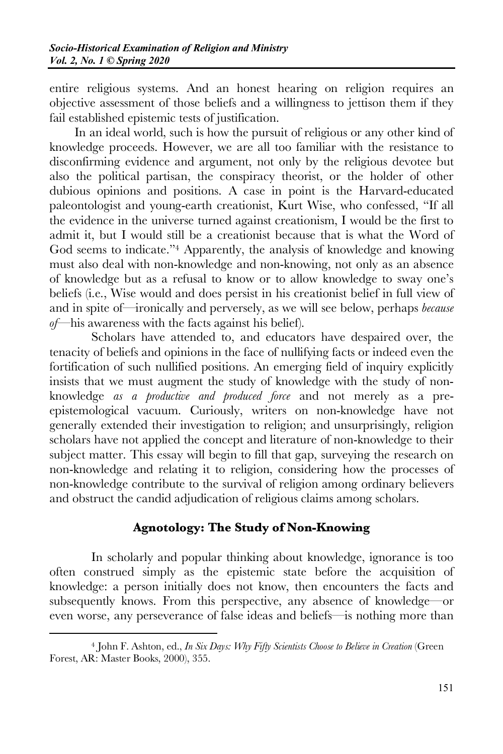entire religious systems. And an honest hearing on religion requires an objective assessment of those beliefs and a willingness to jettison them if they fail established epistemic tests of justification.

In an ideal world, such is how the pursuit of religious or any other kind of knowledge proceeds. However, we are all too familiar with the resistance to disconfirming evidence and argument, not only by the religious devotee but also the political partisan, the conspiracy theorist, or the holder of other dubious opinions and positions. A case in point is the Harvard-educated paleontologist and young-earth creationist, Kurt Wise, who confessed, "If all the evidence in the universe turned against creationism, I would be the first to admit it, but I would still be a creationist because that is what the Word of God seems to indicate."4 Apparently, the analysis of knowledge and knowing must also deal with non-knowledge and non-knowing, not only as an absence of knowledge but as a refusal to know or to allow knowledge to sway one's beliefs (i.e., Wise would and does persist in his creationist belief in full view of and in spite of—ironically and perversely, as we will see below, perhaps *because of*—his awareness with the facts against his belief).

Scholars have attended to, and educators have despaired over, the tenacity of beliefs and opinions in the face of nullifying facts or indeed even the fortification of such nullified positions. An emerging field of inquiry explicitly insists that we must augment the study of knowledge with the study of nonknowledge *as a productive and produced force* and not merely as a preepistemological vacuum. Curiously, writers on non-knowledge have not generally extended their investigation to religion; and unsurprisingly, religion scholars have not applied the concept and literature of non-knowledge to their subject matter. This essay will begin to fill that gap, surveying the research on non-knowledge and relating it to religion, considering how the processes of non-knowledge contribute to the survival of religion among ordinary believers and obstruct the candid adjudication of religious claims among scholars.

# **Agnotology: The Study of Non-Knowing**

In scholarly and popular thinking about knowledge, ignorance is too often construed simply as the epistemic state before the acquisition of knowledge: a person initially does not know, then encounters the facts and subsequently knows. From this perspective, any absence of knowledge—or even worse, any perseverance of false ideas and beliefs—is nothing more than

 $\overline{a}$ 

<sup>4</sup> John F. Ashton, ed., *In Six Days: Why Fifty Scientists Choose to Believe in Creation* (Green Forest, AR: Master Books, 2000), 355.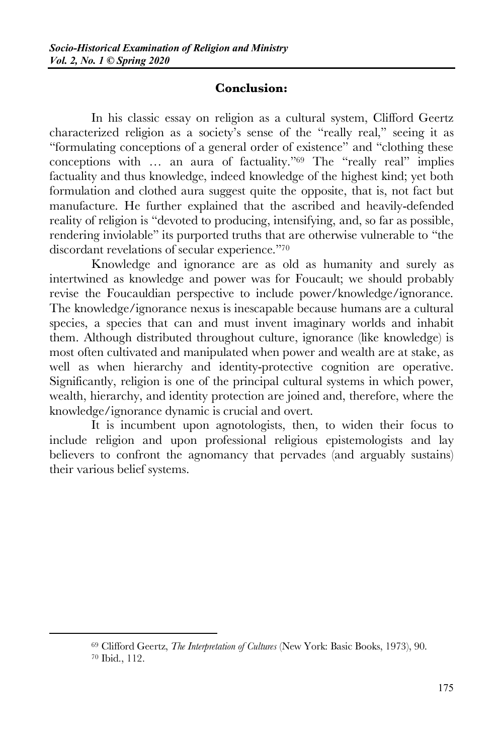#### **Conclusion:**

In his classic essay on religion as a cultural system, Clifford Geertz characterized religion as a society's sense of the "really real," seeing it as "formulating conceptions of a general order of existence" and "clothing these conceptions with … an aura of factuality."69 The "really real" implies factuality and thus knowledge, indeed knowledge of the highest kind; yet both formulation and clothed aura suggest quite the opposite, that is, not fact but manufacture. He further explained that the ascribed and heavily-defended reality of religion is "devoted to producing, intensifying, and, so far as possible, rendering inviolable" its purported truths that are otherwise vulnerable to "the discordant revelations of secular experience."70

Knowledge and ignorance are as old as humanity and surely as intertwined as knowledge and power was for Foucault; we should probably revise the Foucauldian perspective to include power/knowledge/ignorance. The knowledge/ignorance nexus is inescapable because humans are a cultural species, a species that can and must invent imaginary worlds and inhabit them. Although distributed throughout culture, ignorance (like knowledge) is most often cultivated and manipulated when power and wealth are at stake, as well as when hierarchy and identity-protective cognition are operative. Significantly, religion is one of the principal cultural systems in which power, wealth, hierarchy, and identity protection are joined and, therefore, where the knowledge/ignorance dynamic is crucial and overt.

It is incumbent upon agnotologists, then, to widen their focus to include religion and upon professional religious epistemologists and lay believers to confront the agnomancy that pervades (and arguably sustains) their various belief systems.

 $\overline{a}$ 

<sup>69</sup> Clifford Geertz, *The Interpretation of Cultures* (New York: Basic Books, 1973), 90. <sup>70</sup> Ibid., 112.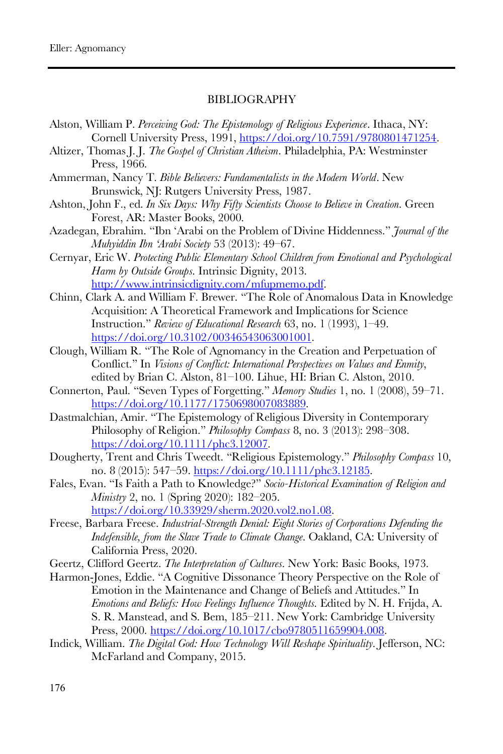#### BIBLIOGRAPHY

- Alston, William P. *Perceiving God: The Epistemology of Religious Experience*. Ithaca, NY: Cornell University Press, 1991, https://doi.org/10.7591/9780801471254.
- Altizer, Thomas J. J. *The Gospel of Christian Atheism*. Philadelphia, PA: Westminster Press, 1966.
- Ammerman, Nancy T. *Bible Believers: Fundamentalists in the Modern World*. New Brunswick, NJ: Rutgers University Press, 1987.
- Ashton, John F., ed. *In Six Days: Why Fifty Scientists Choose to Believe in Creation*. Green Forest, AR: Master Books, 2000.
- Azadegan, Ebrahim. "Ibn 'Arabi on the Problem of Divine Hiddenness." *Journal of the Muhyiddin Ibn 'Arabi Society* 53 (2013): 49‒67.
- Cernyar, Eric W. *Protecting Public Elementary School Children from Emotional and Psychological Harm by Outside Groups*. Intrinsic Dignity, 2013. http://www.intrinsicdignity.com/mfupmemo.pdf.
- Chinn, Clark A. and William F. Brewer. "The Role of Anomalous Data in Knowledge Acquisition: A Theoretical Framework and Implications for Science Instruction." *Review of Educational Research* 63, no. 1 (1993), 1‒49. https://doi.org/10.3102/00346543063001001.
- Clough, William R. "The Role of Agnomancy in the Creation and Perpetuation of Conflict." In *Visions of Conflict: International Perspectives on Values and Enmity*, edited by Brian C. Alston, 81-100. Lihue, HI: Brian C. Alston, 2010.
- Connerton, Paul. "Seven Types of Forgetting." *Memory Studies* 1, no. 1 (2008), 59-71. https://doi.org/10.1177/1750698007083889.
- Dastmalchian, Amir. "The Epistemology of Religious Diversity in Contemporary Philosophy of Religion." *Philosophy Compass* 8, no. 3 (2013): 298-308. https://doi.org/10.1111/phc3.12007.
- Dougherty, Trent and Chris Tweedt. "Religious Epistemology." *Philosophy Compass* 10, no. 8 (2015): 547‒59. https://doi.org/10.1111/phc3.12185.
- Fales, Evan. "Is Faith a Path to Knowledge?" *Socio-Historical Examination of Religion and Ministry* 2, no. 1 (Spring 2020): 182-205. https://doi.org/10.33929/sherm.2020.vol2.no1.08.
- Freese, Barbara Freese. *Industrial-Strength Denial: Eight Stories of Corporations Defending the Indefensible, from the Slave Trade to Climate Change*. Oakland, CA: University of California Press, 2020.
- Geertz, Clifford Geertz. *The Interpretation of Cultures*. New York: Basic Books, 1973.
- Harmon-Jones, Eddie. "A Cognitive Dissonance Theory Perspective on the Role of Emotion in the Maintenance and Change of Beliefs and Attitudes." In *Emotions and Beliefs: How Feelings Influence Thoughts*. Edited by N. H. Frijda, A. S. R. Manstead, and S. Bem, 185–211. New York: Cambridge University Press, 2000. https://doi.org/10.1017/cbo9780511659904.008.
- Indick, William. *The Digital God: How Technology Will Reshape Spirituality*. Jefferson, NC: McFarland and Company, 2015.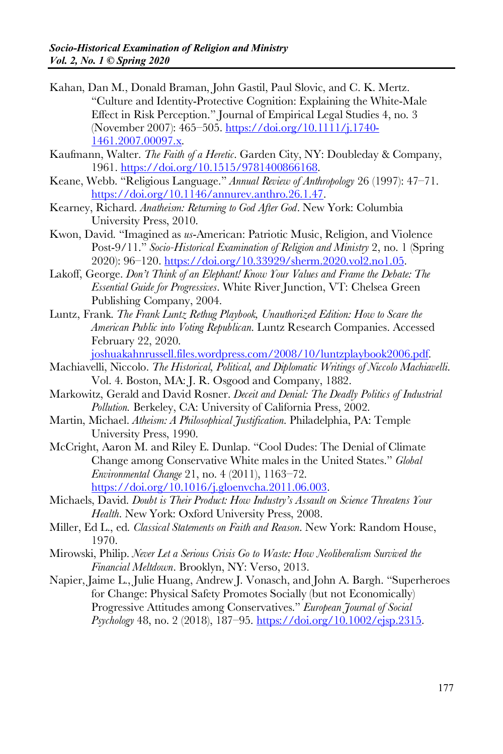- Kahan, Dan M., Donald Braman, John Gastil, Paul Slovic, and C. K. Mertz. "Culture and Identity-Protective Cognition: Explaining the White-Male Effect in Risk Perception." Journal of Empirical Legal Studies 4, no. 3 (November 2007): 465–505. https://doi.org/10.1111/j.1740- 1461.2007.00097.x.
- Kaufmann, Walter. *The Faith of a Heretic*. Garden City, NY: Doubleday & Company, 1961. https://doi.org/10.1515/9781400866168.
- Keane, Webb. "Religious Language." Annual Review of Anthropology 26 (1997): 47-71. https://doi.org/10.1146/annurev.anthro.26.1.47.
- Kearney, Richard. *Anatheism: Returning to God After God*. New York: Columbia University Press, 2010.
- Kwon, David. "Imagined as *us*-American: Patriotic Music, Religion, and Violence Post-9/11." *Socio-Historical Examination of Religion and Ministry* 2, no. 1 (Spring 2020): 96‒120. https://doi.org/10.33929/sherm.2020.vol2.no1.05.
- Lakoff, George. *Don't Think of an Elephant! Know Your Values and Frame the Debate: The Essential Guide for Progressives*. White River Junction, VT: Chelsea Green Publishing Company, 2004.
- Luntz, Frank. *The Frank Luntz Rethug Playbook, Unauthorized Edition: How to Scare the American Public into Voting Republican*. Luntz Research Companies. Accessed February 22, 2020.

joshuakahnrussell.files.wordpress.com/2008/10/luntzplaybook2006.pdf.

- Machiavelli, Niccolo. *The Historical, Political, and Diplomatic Writings of Niccolo Machiavelli*. Vol. 4. Boston, MA: J. R. Osgood and Company, 1882.
- Markowitz, Gerald and David Rosner. *Deceit and Denial: The Deadly Politics of Industrial Pollution.* Berkeley, CA: University of California Press, 2002.
- Martin, Michael. *Atheism: A Philosophical Justification*. Philadelphia, PA: Temple University Press, 1990.
- McCright, Aaron M. and Riley E. Dunlap. "Cool Dudes: The Denial of Climate Change among Conservative White males in the United States." *Global Environmental Change* 21, no. 4 (2011), 1163‒72.

https://doi.org/10.1016/j.gloenvcha.2011.06.003.

- Michaels, David. *Doubt is Their Product: How Industry's Assault on Science Threatens Your Health*. New York: Oxford University Press, 2008.
- Miller, Ed L., ed. *Classical Statements on Faith and Reason*. New York: Random House, 1970.
- Mirowski, Philip. *Never Let a Serious Crisis Go to Waste: How Neoliberalism Survived the Financial Meltdown*. Brooklyn, NY: Verso, 2013.
- Napier, Jaime L., Julie Huang, Andrew J. Vonasch, and John A. Bargh. "Superheroes for Change: Physical Safety Promotes Socially (but not Economically) Progressive Attitudes among Conservatives." *European Journal of Social Psychology* 48, no. 2 (2018), 187‒95. https://doi.org/10.1002/ejsp.2315.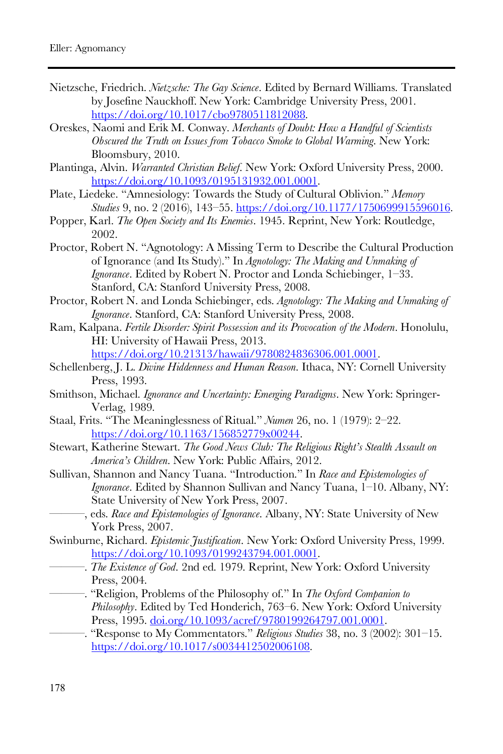- Nietzsche, Friedrich. *Nietzsche: The Gay Science*. Edited by Bernard Williams. Translated by Josefine Nauckhoff. New York: Cambridge University Press, 2001. https://doi.org/10.1017/cbo9780511812088.
- Oreskes, Naomi and Erik M. Conway. *Merchants of Doubt: How a Handful of Scientists Obscured the Truth on Issues from Tobacco Smoke to Global Warming*. New York: Bloomsbury, 2010.
- Plantinga, Alvin. *Warranted Christian Belief*. New York: Oxford University Press, 2000. https://doi.org/10.1093/0195131932.001.0001.
- Plate, Liedeke. "Amnesiology: Towards the Study of Cultural Oblivion." *Memory Studies* 9, no. 2 (2016), 143‒55. https://doi.org/10.1177/1750699915596016.
- Popper, Karl. *The Open Society and Its Enemies*. 1945. Reprint, New York: Routledge, 2002.
- Proctor, Robert N. "Agnotology: A Missing Term to Describe the Cultural Production of Ignorance (and Its Study)." In *Agnotology: The Making and Unmaking of Ignorance*. Edited by Robert N. Proctor and Londa Schiebinger, 1-33. Stanford, CA: Stanford University Press, 2008.
- Proctor, Robert N. and Londa Schiebinger, eds. *Agnotology: The Making and Unmaking of Ignorance*. Stanford, CA: Stanford University Press, 2008.
- Ram, Kalpana. *Fertile Disorder: Spirit Possession and its Provocation of the Modern*. Honolulu, HI: University of Hawaii Press, 2013.

https://doi.org/10.21313/hawaii/9780824836306.001.0001.

- Schellenberg, J. L. *Divine Hiddenness and Human Reason*. Ithaca, NY: Cornell University Press, 1993.
- Smithson, Michael. *Ignorance and Uncertainty: Emerging Paradigms*. New York: Springer-Verlag, 1989.
- Staal, Frits. "The Meaninglessness of Ritual." *Numen* 26, no. 1 (1979): 2-22. https://doi.org/10.1163/156852779x00244.
- Stewart, Katherine Stewart. *The Good News Club: The Religious Right's Stealth Assault on America's Children*. New York: Public Affairs, 2012.
- Sullivan, Shannon and Nancy Tuana. "Introduction." In *Race and Epistemologies of Ignorance*. Edited by Shannon Sullivan and Nancy Tuana, 1-10. Albany, NY: State University of New York Press, 2007.
	- ———, eds. *Race and Epistemologies of Ignorance*. Albany, NY: State University of New York Press, 2007.
- Swinburne, Richard. *Epistemic Justification*. New York: Oxford University Press, 1999. https://doi.org/10.1093/0199243794.001.0001.
	- ———. *The Existence of God*. 2nd ed. 1979. Reprint, New York: Oxford University Press, 2004.
- ———. "Religion, Problems of the Philosophy of." In *The Oxford Companion to Philosophy*. Edited by Ted Honderich, 763‒6. New York: Oxford University Press, 1995. doi.org/10.1093/acref/9780199264797.001.0001.
- ———. "Response to My Commentators." *Religious Studies* 38, no. 3 (2002): 301‒15. https://doi.org/10.1017/s0034412502006108.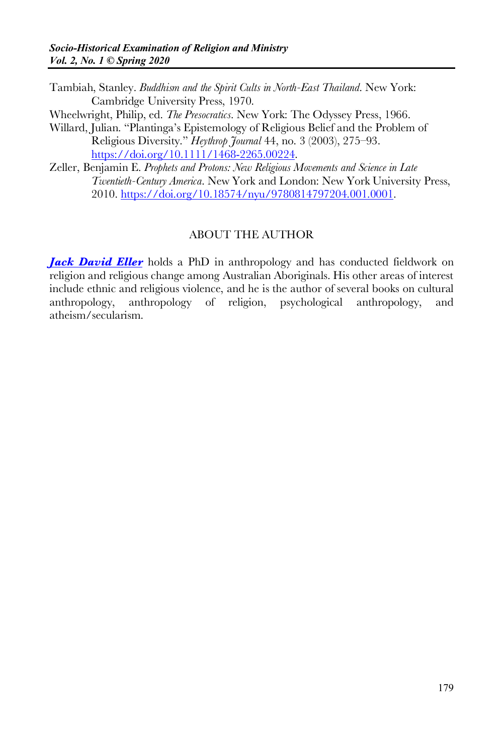- Tambiah, Stanley. *Buddhism and the Spirit Cults in North-East Thailand*. New York: Cambridge University Press, 1970.
- Wheelwright, Philip, ed. *The Presocratics*. New York: The Odyssey Press, 1966.
- Willard, Julian. "Plantinga's Epistemology of Religious Belief and the Problem of Religious Diversity." *Heythrop Journal* 44, no. 3 (2003), 275‒93. https://doi.org/10.1111/1468-2265.00224.
- Zeller, Benjamin E. *Prophets and Protons: New Religious Movements and Science in Late Twentieth-Century America*. New York and London: New York University Press, 2010. https://doi.org/10.18574/nyu/9780814797204.001.0001.

#### ABOUT THE AUTHOR

*Jack David Eller* holds a PhD in anthropology and has conducted fieldwork on religion and religious change among Australian Aboriginals. His other areas of interest include ethnic and religious violence, and he is the author of several books on cultural anthropology, anthropology of religion, psychological anthropology, and atheism/secularism.